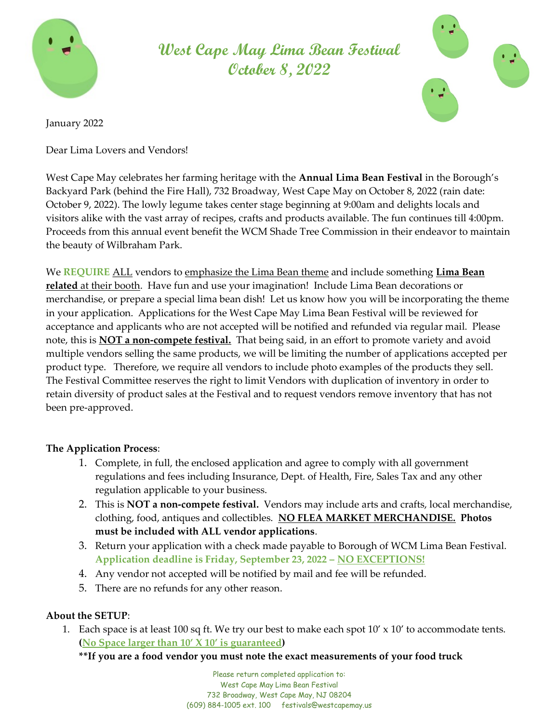

West Cape May Lima Bean Festival October 8, 2022



January 2022

Dear Lima Lovers and Vendors!

West Cape May celebrates her farming heritage with the **Annual Lima Bean Festival** in the Borough's Backyard Park (behind the Fire Hall), 732 Broadway, West Cape May on October 8, 2022 (rain date: October 9, 2022). The lowly legume takes center stage beginning at 9:00am and delights locals and visitors alike with the vast array of recipes, crafts and products available. The fun continues till 4:00pm. Proceeds from this annual event benefit the WCM Shade Tree Commission in their endeavor to maintain the beauty of Wilbraham Park.

We REQUIRE ALL vendors to emphasize the Lima Bean theme and include something Lima Bean related at their booth. Have fun and use your imagination! Include Lima Bean decorations or merchandise, or prepare a special lima bean dish! Let us know how you will be incorporating the theme in your application. Applications for the West Cape May Lima Bean Festival will be reviewed for acceptance and applicants who are not accepted will be notified and refunded via regular mail. Please note, this is **NOT a non-compete festival.** That being said, in an effort to promote variety and avoid multiple vendors selling the same products, we will be limiting the number of applications accepted per product type. Therefore, we require all vendors to include photo examples of the products they sell. The Festival Committee reserves the right to limit Vendors with duplication of inventory in order to retain diversity of product sales at the Festival and to request vendors remove inventory that has not been pre-approved.

## The Application Process:

- 1. Complete, in full, the enclosed application and agree to comply with all government regulations and fees including Insurance, Dept. of Health, Fire, Sales Tax and any other regulation applicable to your business.
- 2. This is **NOT a non-compete festival.** Vendors may include arts and crafts, local merchandise, clothing, food, antiques and collectibles. NO FLEA MARKET MERCHANDISE. Photos must be included with ALL vendor applications.
- 3. Return your application with a check made payable to Borough of WCM Lima Bean Festival. Application deadline is Friday, September 23, 2022 – NO EXCEPTIONS!
- 4. Any vendor not accepted will be notified by mail and fee will be refunded.
- 5. There are no refunds for any other reason.

## About the SETUP:

1. Each space is at least 100 sq ft. We try our best to make each spot  $10' \times 10'$  to accommodate tents. (No Space larger than 10' X 10' is guaranteed)

## \*\*If you are a food vendor you must note the exact measurements of your food truck

Please return completed application to: West Cape May Lima Bean Festival 732 Broadway, West Cape May, NJ 08204 (609) 884-1005 ext. 100 festivals@westcapemay.us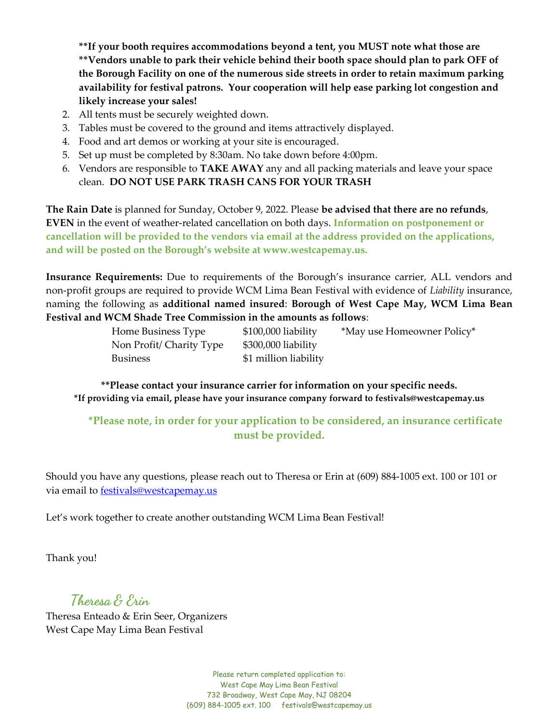\*\*If your booth requires accommodations beyond a tent, you MUST note what those are \*\*Vendors unable to park their vehicle behind their booth space should plan to park OFF of the Borough Facility on one of the numerous side streets in order to retain maximum parking availability for festival patrons. Your cooperation will help ease parking lot congestion and likely increase your sales!

- 2. All tents must be securely weighted down.
- 3. Tables must be covered to the ground and items attractively displayed.
- 4. Food and art demos or working at your site is encouraged.
- 5. Set up must be completed by 8:30am. No take down before 4:00pm.
- 6. Vendors are responsible to TAKE AWAY any and all packing materials and leave your space clean. DO NOT USE PARK TRASH CANS FOR YOUR TRASH

The Rain Date is planned for Sunday, October 9, 2022. Please be advised that there are no refunds, EVEN in the event of weather-related cancellation on both days. Information on postponement or cancellation will be provided to the vendors via email at the address provided on the applications, and will be posted on the Borough's website at www.westcapemay.us.

Insurance Requirements: Due to requirements of the Borough's insurance carrier, ALL vendors and non-profit groups are required to provide WCM Lima Bean Festival with evidence of Liability insurance, naming the following as additional named insured: Borough of West Cape May, WCM Lima Bean Festival and WCM Shade Tree Commission in the amounts as follows:

| Home Business Type       | $$100,000$ liability  | *May use Homeowner Policy* |
|--------------------------|-----------------------|----------------------------|
| Non Profit/ Charity Type | \$300,000 liability   |                            |
| <b>Business</b>          | \$1 million liability |                            |

\*\*Please contact your insurance carrier for information on your specific needs. \*If providing via email, please have your insurance company forward to festivals@westcapemay.us

\*Please note, in order for your application to be considered, an insurance certificate must be provided.

Should you have any questions, please reach out to Theresa or Erin at (609) 884-1005 ext. 100 or 101 or via email to festivals@westcapemay.us

Let's work together to create another outstanding WCM Lima Bean Festival!

Thank you!

Theresa & Erin

Theresa Enteado & Erin Seer, Organizers West Cape May Lima Bean Festival

> Please return completed application to: West Cape May Lima Bean Festival 732 Broadway, West Cape May, NJ 08204 (609) 884-1005 ext. 100 festivals@westcapemay.us